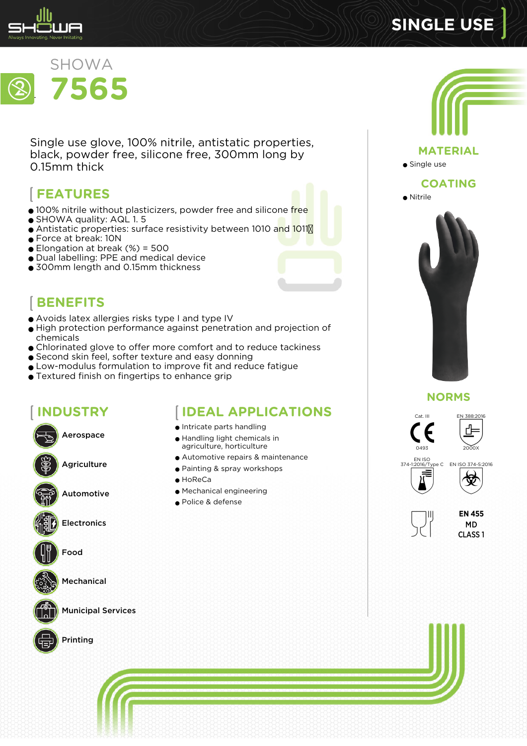

# **SINGLE USE**



Single use glove, 100% nitrile, antistatic properties, black, powder free, silicone free, 300mm long by 0.15mm thick

# **FEATURES**

- 100% nitrile without plasticizers, powder free and silicone free
- SHOWA quality: AQL 1.5
- Antistatic properties: surface resistivity between 1010 and 1011M
- Force at break: 10N
- $\bullet$  Elongation at break (%) = 500
- Dual labelling: PPE and medical device
- 300mm length and 0.15mm thickness



- Avoids latex allergies risks type I and type IV
- High protection performance against penetration and projection of chemicals
- Chlorinated glove to offer more comfort and to reduce tackiness
- Second skin feel, softer texture and easy donning
- Low-modulus formulation to improve fit and reduce fatigue
- Textured finish on fingertips to enhance grip

# **INDUSTRY**



Aerospace

Agriculture

Automotive

Electronics





Mechanical



Municipal Services



Printing

# **IDEAL APPLICATIONS**

- Intricate parts handling
- Handling light chemicals in agriculture, horticulture
- Automotive repairs & maintenance
- Painting & spray workshops
- HoReCa
- Mechanical engineering
- Police & defense